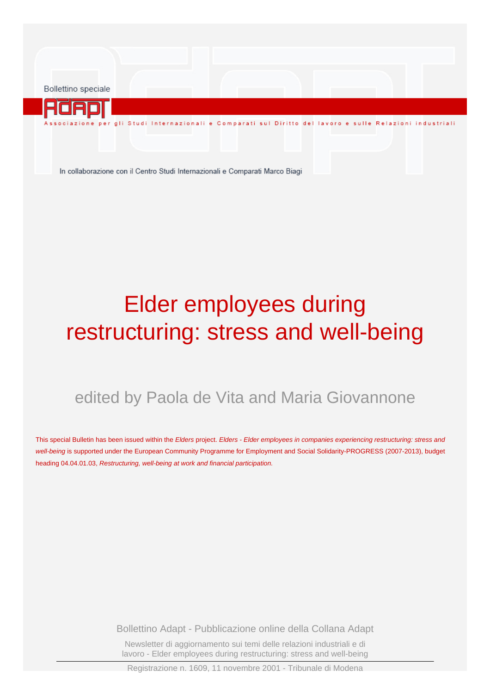Bollettino speciale

ione per gli Studi Internazionali e Comparati sul Diritto del lavoro e sulle Relazioni industriali

In collaborazione con il Centro Studi Internazionali e Comparati Marco Biagi

# Elder employees during restructuring: stress and well-being

## edited by Paola de Vita and Maria Giovannone

This special Bulletin has been issued within the Elders project. [Elders - Elder employees in companies experiencing restructuring: stress and](http://www.adapt.it/acm-on-line/Home/articolo1538.html) well-being [is supported under the European Community Programme for Employment and Social Solidarity-PROGRESS \(2007-2013\), budget](http://www.adapt.it/acm-on-line/Home/articolo1538.html) heading 04.04.01.03, [Restructuring, well-being at work and financial participation.](http://www.adapt.it/acm-on-line/Home/articolo1538.html)

Bollettino Adapt - Pubblicazione online della Collana Adapt

Newsletter di aggiornamento sui temi delle relazioni industriali e di lavoro - Elder employees during restructuring: stress and well-being

Registrazione n. 1609, 11 novembre 2001 - Tribunale di Modena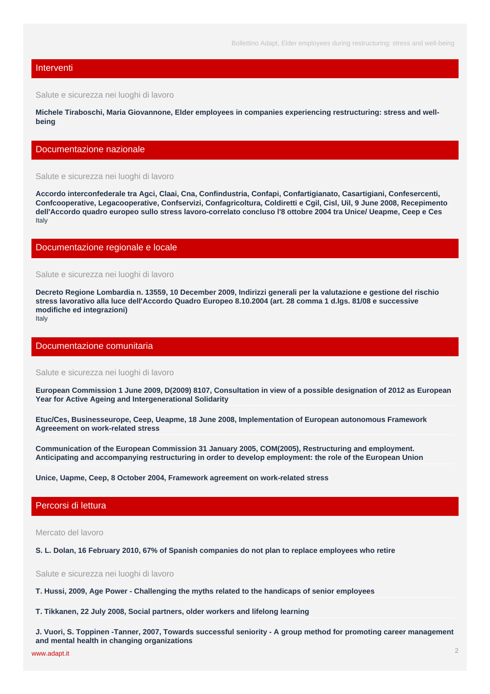#### Interventi

Salute e sicurezza nei luoghi di lavoro

**Michele Tiraboschi, Maria Giovannone, [Elder employees in companies experiencing restructuring: stress and well](http://www.adapt.it/acm-on-line/Home/documento5856.html)[being](http://www.adapt.it/acm-on-line/Home/documento5856.html)**

#### Documentazione nazionale

Salute e sicurezza nei luoghi di lavoro

**Accordo interconfederale tra Agci, Claai, Cna, Confindustria, Confapi, Confartigianato, Casartigiani, Confesercenti, Confcooperative, Legacooperative, Confservizi, Confagricoltura, Coldiretti e Cgil, Cisl, Uil, 9 June 2008, [Recepimento](http://www.adapt.it/acm-on-line/Home/documento3971.html) [dell'Accordo quadro europeo sullo stress lavoro-correlato concluso l'8 ottobre 2004 tra Unice/ Ueapme, Ceep e Ces](http://www.adapt.it/acm-on-line/Home/documento3971.html)** Italy

#### Documentazione regionale e locale

Salute e sicurezza nei luoghi di lavoro

**Decreto Regione Lombardia n. 13559, 10 December 2009, [Indirizzi generali per la valutazione e gestione del rischio](http://www.adapt.it/acm-on-line/Home/documento5811.html) [stress lavorativo alla luce dell'Accordo Quadro Europeo 8.10.2004 \(art. 28 comma 1 d.lgs. 81/08 e successive](http://www.adapt.it/acm-on-line/Home/documento5811.html) [modifiche ed integrazioni\)](http://www.adapt.it/acm-on-line/Home/documento5811.html)** Italy

#### Documentazione comunitaria

Salute e sicurezza nei luoghi di lavoro

**European Commission 1 June 2009, D(2009) 8107, [Consultation in view of a possible designation of 2012 as European](http://www.adapt.it/acm-on-line/Home/documento5794.html) [Year for Active Ageing and Intergenerational Solidarity](http://www.adapt.it/acm-on-line/Home/documento5794.html)**

**Etuc/Ces, Businesseurope, Ceep, Ueapme, 18 June 2008, [Implementation of European autonomous Framework](http://www.adapt.it/acm-on-line/Home/documento5795.html) [Agreeement on work-related stress](http://www.adapt.it/acm-on-line/Home/documento5795.html)**

**Communication of the European Commission 31 January 2005, COM(2005), [Restructuring and employment.](http://www.adapt.it/acm-on-line/Home/documento5792.html) [Anticipating and accompanying restructuring in order to develop employment: the role of the European Union](http://www.adapt.it/acm-on-line/Home/documento5792.html)**

**Unice, Uapme, Ceep, 8 October 2004, [Framework agreement on work-related stress](http://www.adapt.it/acm-on-line/Home/documento5791.html)**

#### Percorsi di lettura

Mercato del lavoro

**S. L. Dolan, 16 February 2010, [67% of Spanish companies do not plan to replace employees who retire](http://www.adapt.it/acm-on-line/Home/documento5842.html)**

Salute e sicurezza nei luoghi di lavoro

**T. Hussi, 2009, [Age Power - Challenging the myths related to the handicaps of senior employees](http://www.adapt.it/acm-on-line/Home/documento5831.html)**

**T. Tikkanen, 22 July 2008, [Social partners, older workers and lifelong learning](http://www.adapt.it/acm-on-line/Home/documento5805.html)**

**J. Vuori, S. Toppinen -Tanner, 2007, [Towards successful seniority - A group method for promoting career management](http://www.adapt.it/acm-on-line/Home/documento5830.html) [and mental health in changing organizations](http://www.adapt.it/acm-on-line/Home/documento5830.html)**

[www.adapt.it](http://www.adapt.it) in the contract of the contract of the contract of the contract of the contract of the contract of the contract of the contract of the contract of the contract of the contract of the contract of the contract o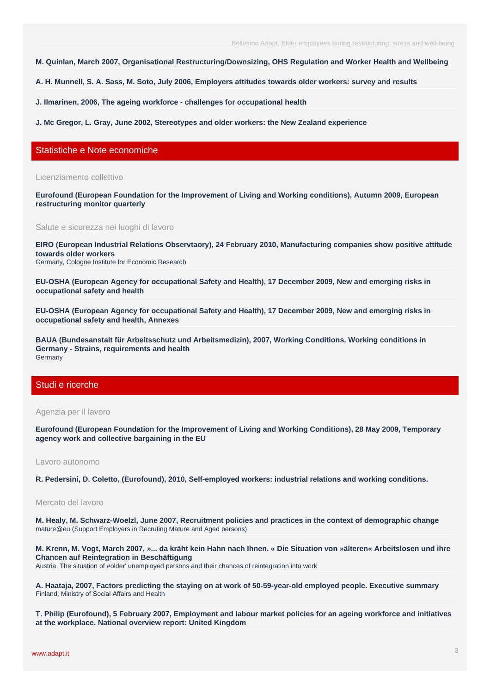Bollettino Adapt, Elder employees during restructuring: stress and well-being

**M. Quinlan, March 2007, [Organisational Restructuring/Downsizing, OHS Regulation and Worker Health and Wellbeing](http://www.adapt.it/acm-on-line/Home/documento5802.html)**

**A. H. Munnell, S. A. Sass, M. Soto, July 2006, [Employers attitudes towards older workers: survey and results](http://www.adapt.it/acm-on-line/Home/documento5804.html)**

**J. Ilmarinen, 2006, [The ageing workforce - challenges for occupational health](http://www.adapt.it/acm-on-line/Home/documento5806.html)**

**J. Mc Gregor, L. Gray, June 2002, [Stereotypes and older workers: the New Zealand experience](http://www.adapt.it/acm-on-line/Home/documento5812.html)**

#### Statistiche e Note economiche

Licenziamento collettivo

**Eurofound (European Foundation for the Improvement of Living and Working conditions), Autumn 2009, [European](http://www.adapt.it/acm-on-line/Home/documento4694.html) [restructuring monitor quarterly](http://www.adapt.it/acm-on-line/Home/documento4694.html)**

Salute e sicurezza nei luoghi di lavoro

**EIRO (European Industrial Relations Observtaory), 24 February 2010, [Manufacturing companies show positive attitude](http://www.adapt.it/acm-on-line/Home/documento5807.html) [towards older workers](http://www.adapt.it/acm-on-line/Home/documento5807.html)**

Germany, Cologne Institute for Economic Research

**EU-OSHA (European Agency for occupational Safety and Health), 17 December 2009, [New and emerging risks in](http://www.adapt.it/acm-on-line/Home/documento5813.html) [occupational safety and health](http://www.adapt.it/acm-on-line/Home/documento5813.html)**

**EU-OSHA (European Agency for occupational Safety and Health), 17 December 2009, [New and emerging risks in](http://www.adapt.it/acm-on-line/Home/documento5814.html) [occupational safety and health, Annexes](http://www.adapt.it/acm-on-line/Home/documento5814.html)**

**BAUA (Bundesanstalt für Arbeitsschutz und Arbeitsmedizin), 2007, [Working Conditions. Working conditions in](http://www.adapt.it/acm-on-line/Home/documento5835.html) [Germany - Strains, requirements and health](http://www.adapt.it/acm-on-line/Home/documento5835.html)** Germany

#### Studi e ricerche

Agenzia per il lavoro

**Eurofound (European Foundation for the Improvement of Living and Working Conditions), 28 May 2009, [Temporary](http://www.adapt.it/acm-on-line/Home/documento776.html) [agency work and collective bargaining in the EU](http://www.adapt.it/acm-on-line/Home/documento776.html)**

#### Lavoro autonomo

**R. Pedersini, D. Coletto, (Eurofound), 2010, [Self-employed workers: industrial relations and working conditions.](http://www.adapt.it/acm-on-line/Home/documento5852.html)**

#### Mercato del lavoro

**M. Healy, M. Schwarz-Woelzl, June 2007, [Recruitment policies and practices in the context of demographic change](http://www.adapt.it/acm-on-line/Home/documento5810.html)** mature@eu (Support Employers in Recruting Mature and Aged persons)

**M. Krenn, M. Vogt, March 2007, [»... da kräht kein Hahn nach Ihnen. « Die Situation von »älteren« Arbeitslosen und ihre](http://www.adapt.it/acm-on-line/Home/documento5828.html) [Chancen auf Reintegration in Beschäftigung](http://www.adapt.it/acm-on-line/Home/documento5828.html)**

Austria, The situation of #older' unemployed persons and their chances of reintegration into work

**A. Haataja, 2007, [Factors predicting the staying on at work of 50-59-year-old employed people. Executive summary](http://www.adapt.it/acm-on-line/Home/documento5832.html)** Finland, Ministry of Social Affairs and Health

**T. Philip (Eurofound), 5 February 2007, [Employment and labour market policies for an ageing workforce and initiatives](http://www.adapt.it/acm-on-line/Home/documento5815.html) [at the workplace. National overview report: United Kingdom](http://www.adapt.it/acm-on-line/Home/documento5815.html)**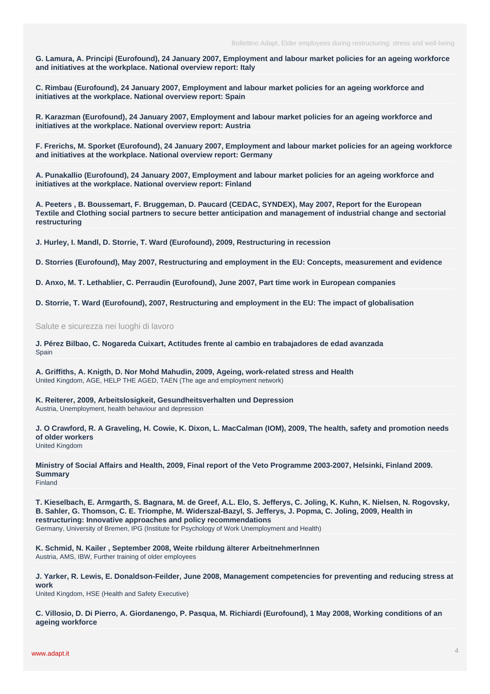**G. Lamura, A. Principi (Eurofound), 24 January 2007, [Employment and labour market policies for an ageing workforce](http://www.adapt.it/acm-on-line/Home/documento5816.html) [and initiatives at the workplace. National overview report: Italy](http://www.adapt.it/acm-on-line/Home/documento5816.html)**

**C. Rimbau (Eurofound), 24 January 2007, [Employment and labour market policies for an ageing workforce and](http://www.adapt.it/acm-on-line/Home/documento5817.html) [initiatives at the workplace. National overview report: Spain](http://www.adapt.it/acm-on-line/Home/documento5817.html)**

**R. Karazman (Eurofound), 24 January 2007, [Employment and labour market policies for an ageing workforce and](http://www.adapt.it/acm-on-line/Home/documento5818.html) [initiatives at the workplace. National overview report: Austria](http://www.adapt.it/acm-on-line/Home/documento5818.html)**

**F. Frerichs, M. Sporket (Eurofound), 24 January 2007, [Employment and labour market policies for an ageing workforce](http://www.adapt.it/acm-on-line/Home/documento5819.html) [and initiatives at the workplace. National overview report: Germany](http://www.adapt.it/acm-on-line/Home/documento5819.html)**

**A. Punakallio (Eurofound), 24 January 2007, [Employment and labour market policies for an ageing workforce and](http://www.adapt.it/acm-on-line/Home/documento5820.html) [initiatives at the workplace. National overview report: Finland](http://www.adapt.it/acm-on-line/Home/documento5820.html)**

**A. Peeters , B. Boussemart, F. Bruggeman, D. Paucard (CEDAC, SYNDEX), May 2007, [Report for the European](http://www.adapt.it/acm-on-line/Home/documento5844.html) [Textile and Clothing social partners to secure better anticipation and management of industrial change and sectorial](http://www.adapt.it/acm-on-line/Home/documento5844.html) [restructuring](http://www.adapt.it/acm-on-line/Home/documento5844.html)**

**J. Hurley, I. Mandl, D. Storrie, T. Ward (Eurofound), 2009, [Restructuring in recession](http://www.adapt.it/acm-on-line/Home/documento5850.html)**

**D. Storries (Eurofound), May 2007, [Restructuring and employment in the EU: Concepts, measurement and evidence](http://www.adapt.it/acm-on-line/Home/documento5846.html)**

**D. Anxo, M. T. Lethablier, C. Perraudin (Eurofound), June 2007, [Part time work in European companies](http://www.adapt.it/acm-on-line/Home/documento5841.html)**

**D. Storrie, T. Ward (Eurofound), 2007, [Restructuring and employment in the EU: The impact of globalisation](http://www.adapt.it/acm-on-line/Home/documento5849.html)**

Salute e sicurezza nei luoghi di lavoro

**J. Pérez Bilbao, C. Nogareda Cuixart, [Actitudes frente al cambio en trabajadores de edad avanzada](http://www.adapt.it/acm-on-line/Home/documento5808.html) Spain** 

**A. Griffiths, A. Knigth, D. Nor Mohd Mahudin, 2009, [Ageing, work-related stress and Health](http://www.adapt.it/acm-on-line/Home/documento5797.html)** United Kingdom, AGE, HELP THE AGED, TAEN (The age and employment network)

**K. Reiterer, 2009, [Arbeitslosigkeit, Gesundheitsverhalten und Depression](http://www.adapt.it/acm-on-line/Home/documento5824.html)** Austria, Unemployment, health behaviour and depression

**J. O Crawford, R. A Graveling, H. Cowie, K. Dixon, L. MacCalman (IOM), 2009, [The health, safety and promotion needs](http://www.adapt.it/acm-on-line/Home/documento5796.html) [of older workers](http://www.adapt.it/acm-on-line/Home/documento5796.html)** United Kingdom

**Ministry of Social Affairs and Health, 2009, [Final report of the Veto Programme 2003-2007, Helsinki, Finland 2009.](http://www.adapt.it/acm-on-line/Home/documento5833.html) [Summary](http://www.adapt.it/acm-on-line/Home/documento5833.html)** Finland

**T. Kieselbach, E. Armgarth, S. Bagnara, M. de Greef, A.L. Elo, S. Jefferys, C. Joling, K. Kuhn, K. Nielsen, N. Rogovsky, B. Sahler, G. Thomson, C. E. Triomphe, M. Widerszal-Bazyl, S. Jefferys, J. Popma, C. Joling, 2009, [Health in](http://www.adapt.it/acm-on-line/Home/documento5801.html) [restructuring: Innovative approaches and policy recommendations](http://www.adapt.it/acm-on-line/Home/documento5801.html)** Germany, University of Bremen, IPG (Institute for Psychology of Work Unemployment and Health)

**K. Schmid, N. Kailer , September 2008, [Weite rbildung älterer ArbeitnehmerInnen](http://www.adapt.it/acm-on-line/Home/documento5826.html)** Austria, AMS, IBW, Further training of older employees

**J. Yarker, R. Lewis, E. Donaldson-Feilder, June 2008, [Management competencies for preventing and reducing stress at](http://www.adapt.it/acm-on-line/Home/documento5798.html) [work](http://www.adapt.it/acm-on-line/Home/documento5798.html)**

United Kingdom, HSE (Health and Safety Executive)

**C. Villosio, D. Di Pierro, A. Giordanengo, P. Pasqua, M. Richiardi (Eurofound), 1 May 2008, [Working conditions of an](http://www.adapt.it/acm-on-line/Home/documento5800.html) [ageing workforce](http://www.adapt.it/acm-on-line/Home/documento5800.html)**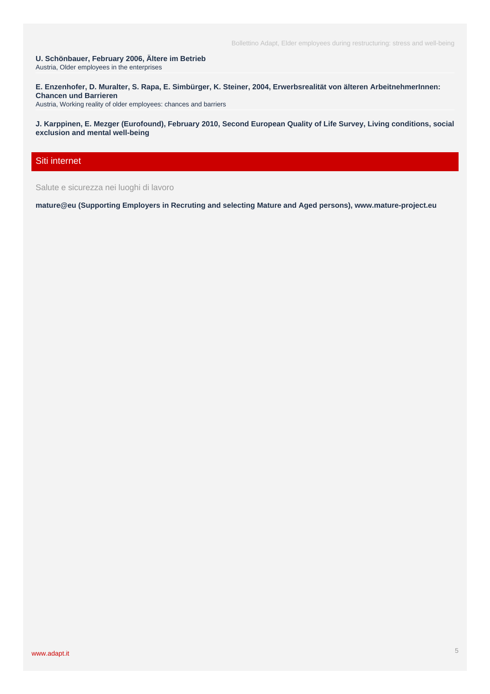**U. Schönbauer, February 2006, [Ältere im Betrieb](http://www.adapt.it/acm-on-line/Home/documento5829.html)** Austria, Older employees in the enterprises

**E. Enzenhofer, D. Muralter, S. Rapa, E. Simbürger, K. Steiner, 2004, [Erwerbsrealität von älteren ArbeitnehmerInnen:](http://www.adapt.it/acm-on-line/Home/documento5821.html) [Chancen und Barrieren](http://www.adapt.it/acm-on-line/Home/documento5821.html)**

Austria, Working reality of older employees: chances and barriers

**J. Karppinen, E. Mezger (Eurofound), February 2010, [Second European Quality of Life Survey, Living conditions, social](http://www.adapt.it/acm-on-line/Home/documento5847.html) [exclusion and mental well-being](http://www.adapt.it/acm-on-line/Home/documento5847.html)**

### Siti internet

Salute e sicurezza nei luoghi di lavoro

**mature@eu (Supporting Employers in Recruting and selecting Mature and Aged persons), [www.mature-project.eu](http://www.adapt.it/acm-on-line/Home/documento5809.html)**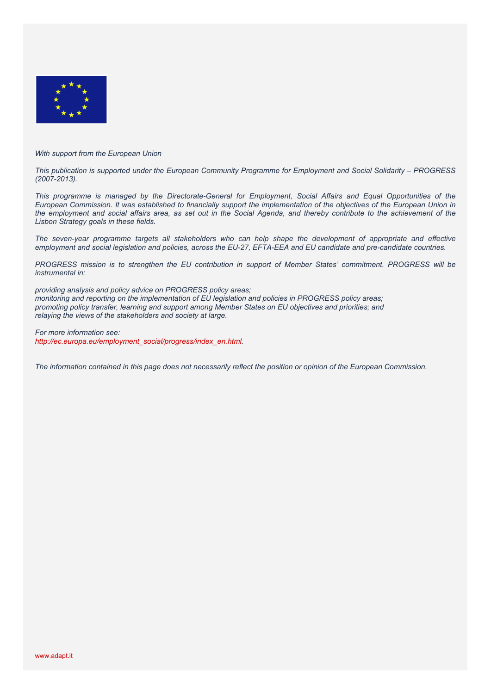

#### *With support from the European Union*

*This publication is supported under the European Community Programme for Employment and Social Solidarity – PROGRESS (2007-2013).* 

*This programme is managed by the Directorate-General for Employment, Social Affairs and Equal Opportunities of the European Commission. It was established to financially support the implementation of the objectives of the European Union in the employment and social affairs area, as set out in the Social Agenda, and thereby contribute to the achievement of the Lisbon Strategy goals in these fields.* 

*The seven-year programme targets all stakeholders who can help shape the development of appropriate and effective employment and social legislation and policies, across the EU-27, EFTA-EEA and EU candidate and pre-candidate countries.* 

*PROGRESS mission is to strengthen the EU contribution in support of Member States' commitment. PROGRESS will be instrumental in:* 

*providing analysis and policy advice on PROGRESS policy areas; monitoring and reporting on the implementation of EU legislation and policies in PROGRESS policy areas; promoting policy transfer, learning and support among Member States on EU objectives and priorities; and relaying the views of the stakeholders and society at large.* 

*For more information see: http://ec.europa.eu/employment\_social/progress/index\_en.html.* 

*The information contained in this page does not necessarily reflect the position or opinion of the European Commission.*